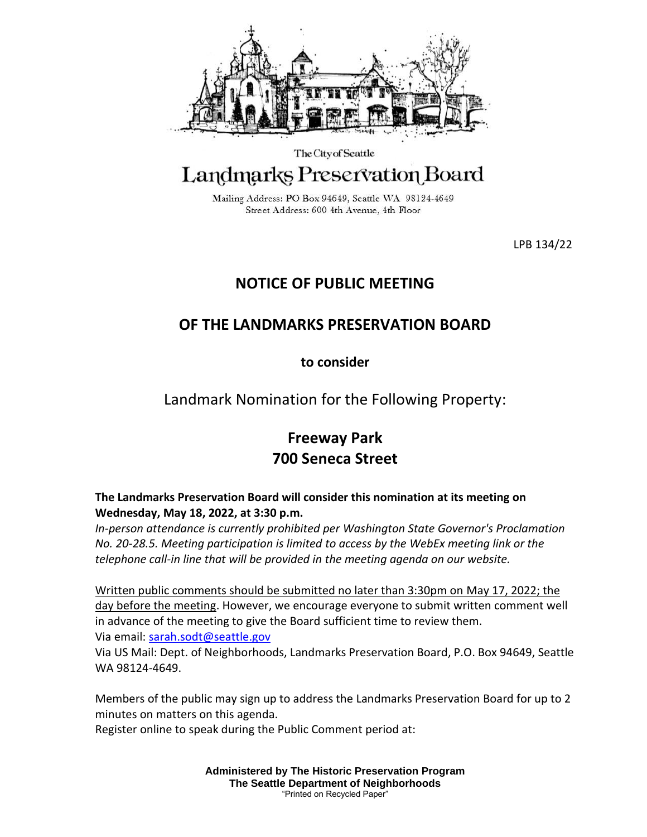

The City of Seattle

## Landmarks Preservation Board

Mailing Address: PO Box 94649, Seattle WA 98124-4649 Street Address: 600 4th Avenue, 4th Floor

LPB 134/22

## **NOTICE OF PUBLIC MEETING**

## **OF THE LANDMARKS PRESERVATION BOARD**

**to consider**

Landmark Nomination for the Following Property:

## **Freeway Park 700 Seneca Street**

**The Landmarks Preservation Board will consider this nomination at its meeting on Wednesday, May 18, 2022, at 3:30 p.m.** 

*In-person attendance is currently prohibited per Washington State Governor's Proclamation No. 20-28.5. Meeting participation is limited to access by the WebEx meeting link or the telephone call-in line that will be provided in the meeting agenda on our website.*

Written public comments should be submitted no later than 3:30pm on May 17, 2022; the day before the meeting. However, we encourage everyone to submit written comment well in advance of the meeting to give the Board sufficient time to review them. Via email: [sarah.sodt@seattle.gov](mailto:sarah.sodt@seattle.gov)

Via US Mail: Dept. of Neighborhoods, Landmarks Preservation Board, P.O. Box 94649, Seattle WA 98124-4649.

Members of the public may sign up to address the Landmarks Preservation Board for up to 2 minutes on matters on this agenda.

Register online to speak during the Public Comment period at:

**Administered by The Historic Preservation Program The Seattle Department of Neighborhoods** "Printed on Recycled Paper"